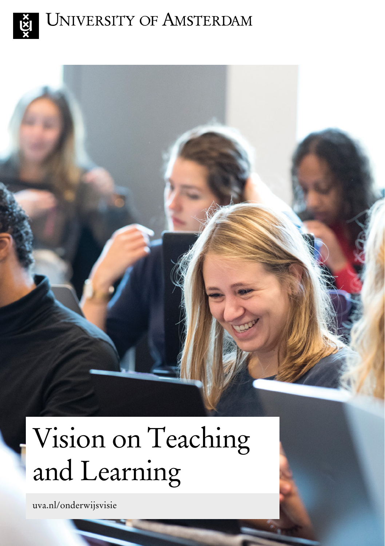

## UNIVERSITY OF AMSTERDAM



# Vision on Teaching and Learning

[uva.nl/onderwijsvisie](http://uva.nl/onderwijsvisie)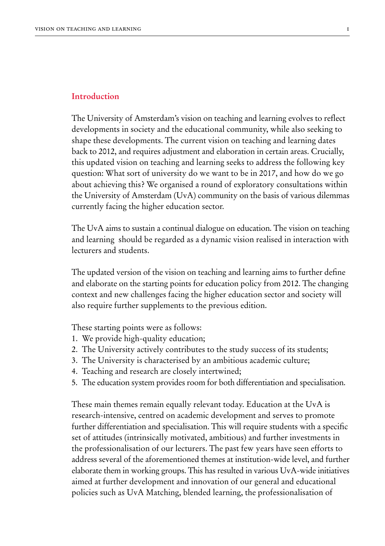#### **Introduction**

The University of Amsterdam's vision on teaching and learning evolves to reflect developments in society and the educational community, while also seeking to shape these developments. The current vision on teaching and learning dates back to 2012, and requires adjustment and elaboration in certain areas. Crucially, this updated vision on teaching and learning seeks to address the following key question: What sort of university do we want to be in 2017, and how do we go about achieving this? We organised a round of exploratory consultations within the University of Amsterdam (UvA) community on the basis of various dilemmas currently facing the higher education sector.

The UvA aims to sustain a continual dialogue on education. The vision on teaching and learning should be regarded as a dynamic vision realised in interaction with lecturers and students.

The updated version of the vision on teaching and learning aims to further define and elaborate on the starting points for education policy from 2012. The changing context and new challenges facing the higher education sector and society will also require further supplements to the previous edition.

These starting points were as follows:

- 1. We provide high-quality education;
- 2. The University actively contributes to the study success of its students;
- 3. The University is characterised by an ambitious academic culture;
- 4. Teaching and research are closely intertwined;
- 5. The education system provides room for both differentiation and specialisation.

These main themes remain equally relevant today. Education at the UvA is research-intensive, centred on academic development and serves to promote further differentiation and specialisation. This will require students with a specific set of attitudes (intrinsically motivated, ambitious) and further investments in the professionalisation of our lecturers. The past few years have seen efforts to address several of the aforementioned themes at institution-wide level, and further elaborate them in working groups. This has resulted in various UvA-wide initiatives aimed at further development and innovation of our general and educational policies such as UvA Matching, blended learning, the professionalisation of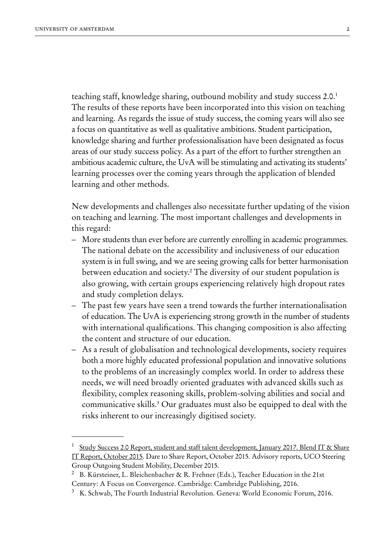teaching staff, knowledge sharing, outbound mobility and study success 2.0.<sup>1</sup> The results of these reports have been incorporated into this vision on teaching and learning. As regards the issue of study success, the coming years will also see a focus on quantitative as well as qualitative ambitions. Student participation, knowledge sharing and further professionalisation have been designated as focus areas of our study success policy. As a part of the effort to further strengthen an ambitious academic culture, the UvA will be stimulating and activating its students' learning processes over the coming years through the application of blended learning and other methods.

New developments and challenges also necessitate further updating of the vision on teaching and learning. The most important challenges and developments in this regard:

- More students than ever before are currently enrolling in academic programmes. The national debate on the accessibility and inclusiveness of our education system is in full swing, and we are seeing growing calls for better harmonisation between education and society.2 The diversity of our student population is also growing, with certain groups experiencing relatively high dropout rates and study completion delays.
- The past few years have seen a trend towards the further internationalisation of education. The UvA is experiencing strong growth in the number of students with international qualifications. This changing composition is also affecting the content and structure of our education.
- As a result of globalisation and technological developments, society requires both a more highly educated professional population and innovative solutions to the problems of an increasingly complex world. In order to address these needs, we will need broadly oriented graduates with advanced skills such as flexibility, complex reasoning skills, problem-solving abilities and social and communicative skills.3 Our graduates must also be equipped to deal with the risks inherent to our increasingly digitised society.

[Study Success 2.0 Report, student and staff talent development, January 2017. Blend IT & Share](http://www.uva.nl/en/education/quality-of-education/policy/study-success/approach-to-study-success/approach-to-study-success.html) [IT Report, October 2015.](http://www.uva.nl/en/education/quality-of-education/policy/study-success/approach-to-study-success/approach-to-study-success.html) Dare to Share Report, October 2015. Advisory reports, UCO Steering Group Outgoing Student Mobility, December 2015.

<sup>&</sup>lt;sup>2</sup> B. Kürsteiner, L. Bleichenbacher & R. Frehner (Eds.), Teacher Education in the 21st Century: A Focus on Convergence. Cambridge: Cambridge Publishing, 2016.

<sup>3</sup> K. Schwab, The Fourth Industrial Revolution. Geneva: World Economic Forum, 2016.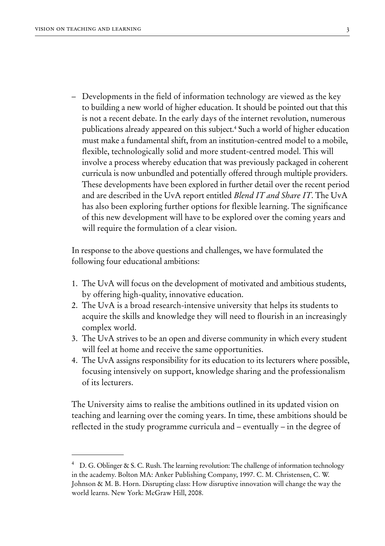– Developments in the field of information technology are viewed as the key to building a new world of higher education. It should be pointed out that this is not a recent debate. In the early days of the internet revolution, numerous publications already appeared on this subject.4 Such a world of higher education must make a fundamental shift, from an institution-centred model to a mobile, flexible, technologically solid and more student-centred model. This will involve a process whereby education that was previously packaged in coherent curricula is now unbundled and potentially offered through multiple providers. These developments have been explored in further detail over the recent period and are described in the UvA report entitled *Blend IT and Share IT*. The UvA has also been exploring further options for flexible learning. The significance of this new development will have to be explored over the coming years and will require the formulation of a clear vision.

In response to the above questions and challenges, we have formulated the following four educational ambitions:

- 1. The UvA will focus on the development of motivated and ambitious students, by offering high-quality, innovative education.
- 2. The UvA is a broad research-intensive university that helps its students to acquire the skills and knowledge they will need to flourish in an increasingly complex world.
- 3. The UvA strives to be an open and diverse community in which every student will feel at home and receive the same opportunities.
- 4. The UvA assigns responsibility for its education to its lecturers where possible, focusing intensively on support, knowledge sharing and the professionalism of its lecturers.

The University aims to realise the ambitions outlined in its updated vision on teaching and learning over the coming years. In time, these ambitions should be reflected in the study programme curricula and – eventually – in the degree of

 $4$  D. G. Oblinger & S. C. Rush. The learning revolution: The challenge of information technology in the academy. Bolton MA: Anker Publishing Company, 1997. C. M. Christensen, C. W. Johnson & M. B. Horn. Disrupting class: How disruptive innovation will change the way the world learns. New York: McGraw Hill, 2008.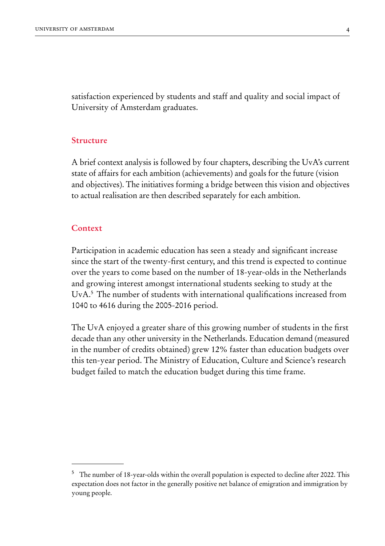satisfaction experienced by students and staff and quality and social impact of University of Amsterdam graduates.

#### **Structure**

A brief context analysis is followed by four chapters, describing the UvA's current state of affairs for each ambition (achievements) and goals for the future (vision and objectives). The initiatives forming a bridge between this vision and objectives to actual realisation are then described separately for each ambition.

#### **Context**

Participation in academic education has seen a steady and significant increase since the start of the twenty-first century, and this trend is expected to continue over the years to come based on the number of 18-year-olds in the Netherlands and growing interest amongst international students seeking to study at the UvA.5 The number of students with international qualifications increased from 1040 to 4616 during the 2005-2016 period.

The UvA enjoyed a greater share of this growing number of students in the first decade than any other university in the Netherlands. Education demand (measured in the number of credits obtained) grew 12% faster than education budgets over this ten-year period. The Ministry of Education, Culture and Science's research budget failed to match the education budget during this time frame.

<sup>5</sup> The number of 18-year-olds within the overall population is expected to decline after 2022. This expectation does not factor in the generally positive net balance of emigration and immigration by young people.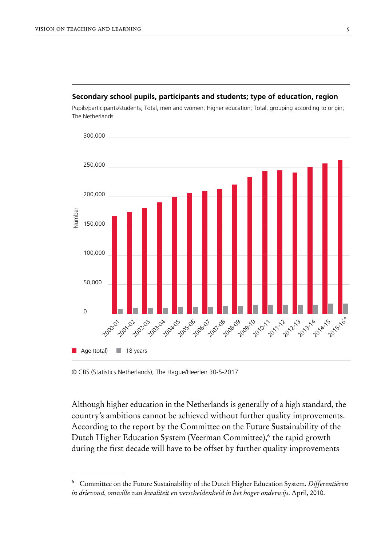#### **Secondary school pupils, participants and students; type of education, region**

Pupils/participants/students; Total, men and women; Higher education; Total, grouping according to origin; The Netherlands



<sup>©</sup> CBS (Statistics Netherlands), The Hague/Heerlen 30-5-2017

Although higher education in the Netherlands is generally of a high standard, the country's ambitions cannot be achieved without further quality improvements. According to the report by the Committee on the Future Sustainability of the Dutch Higher Education System (Veerman Committee),<sup>6</sup> the rapid growth during the first decade will have to be offset by further quality improvements

<sup>6</sup> Committee on the Future Sustainability of the Dutch Higher Education System. *Differentiëren in drievoud, omwille van kwaliteit en verscheidenheid in het hoger onderwijs*. April, 2010.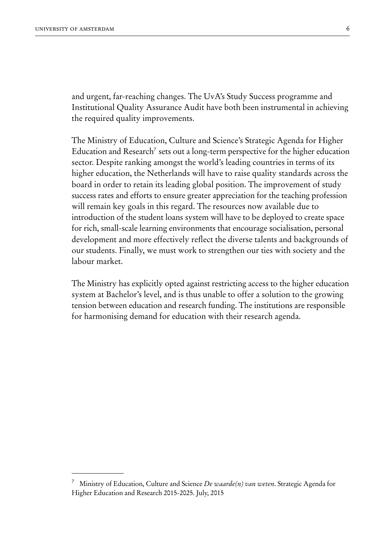and urgent, far-reaching changes. The UvA's Study Success programme and Institutional Quality Assurance Audit have both been instrumental in achieving the required quality improvements.

The Ministry of Education, Culture and Science's Strategic Agenda for Higher Education and Research<sup>7</sup> sets out a long-term perspective for the higher education sector. Despite ranking amongst the world's leading countries in terms of its higher education, the Netherlands will have to raise quality standards across the board in order to retain its leading global position. The improvement of study success rates and efforts to ensure greater appreciation for the teaching profession will remain key goals in this regard. The resources now available due to introduction of the student loans system will have to be deployed to create space for rich, small-scale learning environments that encourage socialisation, personal development and more effectively reflect the diverse talents and backgrounds of our students. Finally, we must work to strengthen our ties with society and the labour market.

The Ministry has explicitly opted against restricting access to the higher education system at Bachelor's level, and is thus unable to offer a solution to the growing tension between education and research funding. The institutions are responsible for harmonising demand for education with their research agenda.

<sup>7</sup> Ministry of Education, Culture and Science *De waarde(n) van weten*. Strategic Agenda for Higher Education and Research 2015-2025. July, 2015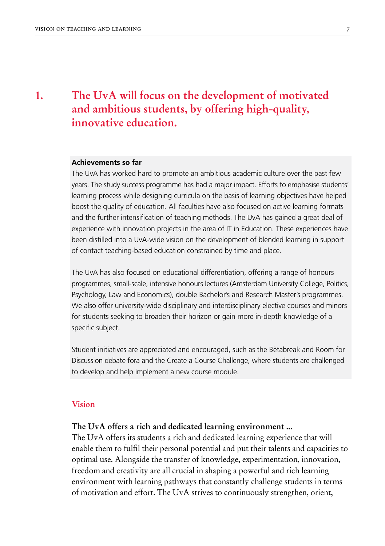### **1.**

## **The UvA will focus on the development of motivated and ambitious students, by offering high-quality, innovative education.**

#### **Achievements so far**

The UvA has worked hard to promote an ambitious academic culture over the past few years. The study success programme has had a major impact. Efforts to emphasise students' learning process while designing curricula on the basis of learning objectives have helped boost the quality of education. All faculties have also focused on active learning formats and the further intensification of teaching methods. The UvA has gained a great deal of experience with innovation projects in the area of IT in Education. These experiences have been distilled into a UvA-wide vision on the development of blended learning in support of contact teaching-based education constrained by time and place.

The UvA has also focused on educational differentiation, offering a range of honours programmes, small-scale, intensive honours lectures (Amsterdam University College, Politics, Psychology, Law and Economics), double Bachelor's and Research Master's programmes. We also offer university-wide disciplinary and interdisciplinary elective courses and minors for students seeking to broaden their horizon or gain more in-depth knowledge of a specific subject.

Student initiatives are appreciated and encouraged, such as the Bètabreak and Room for Discussion debate fora and the Create a Course Challenge, where students are challenged to develop and help implement a new course module.

#### **Vision**

#### **The UvA offers a rich and dedicated learning environment ...**

The UvA offers its students a rich and dedicated learning experience that will enable them to fulfil their personal potential and put their talents and capacities to optimal use. Alongside the transfer of knowledge, experimentation, innovation, freedom and creativity are all crucial in shaping a powerful and rich learning environment with learning pathways that constantly challenge students in terms of motivation and effort. The UvA strives to continuously strengthen, orient,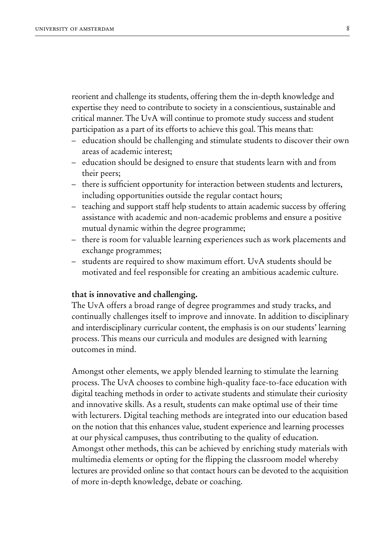reorient and challenge its students, offering them the in-depth knowledge and expertise they need to contribute to society in a conscientious, sustainable and critical manner. The UvA will continue to promote study success and student participation as a part of its efforts to achieve this goal. This means that:

- education should be challenging and stimulate students to discover their own areas of academic interest;
- education should be designed to ensure that students learn with and from their peers;
- there is sufficient opportunity for interaction between students and lecturers, including opportunities outside the regular contact hours;
- teaching and support staff help students to attain academic success by offering assistance with academic and non-academic problems and ensure a positive mutual dynamic within the degree programme;
- there is room for valuable learning experiences such as work placements and exchange programmes;
- students are required to show maximum effort. UvA students should be motivated and feel responsible for creating an ambitious academic culture.

#### **that is innovative and challenging.**

The UvA offers a broad range of degree programmes and study tracks, and continually challenges itself to improve and innovate. In addition to disciplinary and interdisciplinary curricular content, the emphasis is on our students' learning process. This means our curricula and modules are designed with learning outcomes in mind.

Amongst other elements, we apply blended learning to stimulate the learning process. The UvA chooses to combine high-quality face-to-face education with digital teaching methods in order to activate students and stimulate their curiosity and innovative skills. As a result, students can make optimal use of their time with lecturers. Digital teaching methods are integrated into our education based on the notion that this enhances value, student experience and learning processes at our physical campuses, thus contributing to the quality of education. Amongst other methods, this can be achieved by enriching study materials with multimedia elements or opting for the flipping the classroom model whereby lectures are provided online so that contact hours can be devoted to the acquisition of more in-depth knowledge, debate or coaching.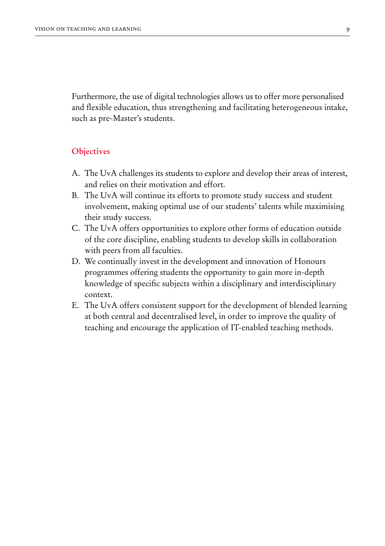Furthermore, the use of digital technologies allows us to offer more personalised and flexible education, thus strengthening and facilitating heterogeneous intake, such as pre-Master's students.

#### **Objectives**

- A. The UvA challenges its students to explore and develop their areas of interest, and relies on their motivation and effort.
- B. The UvA will continue its efforts to promote study success and student involvement, making optimal use of our students' talents while maximising their study success.
- C. The UvA offers opportunities to explore other forms of education outside of the core discipline, enabling students to develop skills in collaboration with peers from all faculties.
- D. We continually invest in the development and innovation of Honours programmes offering students the opportunity to gain more in-depth knowledge of specific subjects within a disciplinary and interdisciplinary context.
- E. The UvA offers consistent support for the development of blended learning at both central and decentralised level, in order to improve the quality of teaching and encourage the application of IT-enabled teaching methods.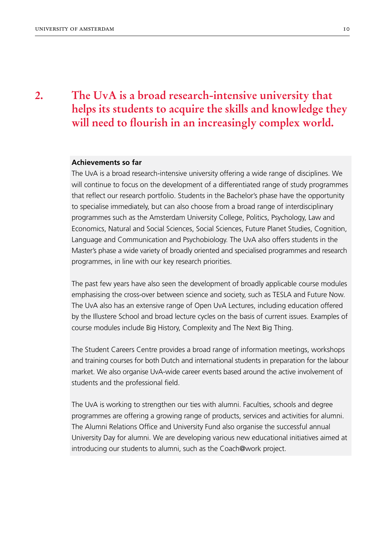## **The UvA is a broad research-intensive university that helps its students to acquire the skills and knowledge they will need to flourish in an increasingly complex world.**

#### **Achievements so far**

The UvA is a broad research-intensive university offering a wide range of disciplines. We will continue to focus on the development of a differentiated range of study programmes that reflect our research portfolio. Students in the Bachelor's phase have the opportunity to specialise immediately, but can also choose from a broad range of interdisciplinary programmes such as the Amsterdam University College, Politics, Psychology, Law and Economics, Natural and Social Sciences, Social Sciences, Future Planet Studies, Cognition, Language and Communication and Psychobiology. The UvA also offers students in the Master's phase a wide variety of broadly oriented and specialised programmes and research programmes, in line with our key research priorities.

The past few years have also seen the development of broadly applicable course modules emphasising the cross-over between science and society, such as TESLA and Future Now. The UvA also has an extensive range of Open UvA Lectures, including education offered by the Illustere School and broad lecture cycles on the basis of current issues. Examples of course modules include Big History, Complexity and The Next Big Thing.

The Student Careers Centre provides a broad range of information meetings, workshops and training courses for both Dutch and international students in preparation for the labour market. We also organise UvA-wide career events based around the active involvement of students and the professional field.

The UvA is working to strengthen our ties with alumni. Faculties, schools and degree programmes are offering a growing range of products, services and activities for alumni. The Alumni Relations Office and University Fund also organise the successful annual University Day for alumni. We are developing various new educational initiatives aimed at introducing our students to alumni, such as the Coach@work project.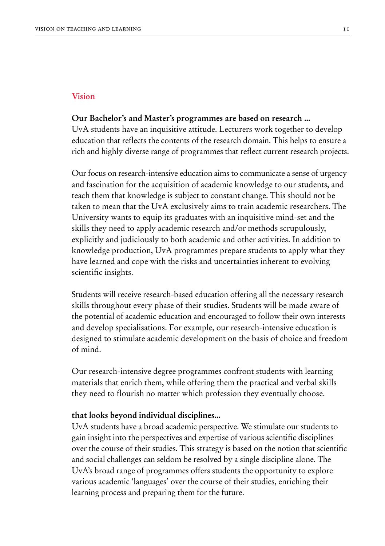#### **Vision**

#### **Our Bachelor's and Master's programmes are based on research ...**

UvA students have an inquisitive attitude. Lecturers work together to develop education that reflects the contents of the research domain. This helps to ensure a rich and highly diverse range of programmes that reflect current research projects.

Our focus on research-intensive education aims to communicate a sense of urgency and fascination for the acquisition of academic knowledge to our students, and teach them that knowledge is subject to constant change. This should not be taken to mean that the UvA exclusively aims to train academic researchers. The University wants to equip its graduates with an inquisitive mind-set and the skills they need to apply academic research and/or methods scrupulously, explicitly and judiciously to both academic and other activities. In addition to knowledge production, UvA programmes prepare students to apply what they have learned and cope with the risks and uncertainties inherent to evolving scientific insights.

Students will receive research-based education offering all the necessary research skills throughout every phase of their studies. Students will be made aware of the potential of academic education and encouraged to follow their own interests and develop specialisations. For example, our research-intensive education is designed to stimulate academic development on the basis of choice and freedom of mind.

Our research-intensive degree programmes confront students with learning materials that enrich them, while offering them the practical and verbal skills they need to flourish no matter which profession they eventually choose.

#### **that looks beyond individual disciplines...**

UvA students have a broad academic perspective. We stimulate our students to gain insight into the perspectives and expertise of various scientific disciplines over the course of their studies. This strategy is based on the notion that scientific and social challenges can seldom be resolved by a single discipline alone. The UvA's broad range of programmes offers students the opportunity to explore various academic 'languages' over the course of their studies, enriching their learning process and preparing them for the future.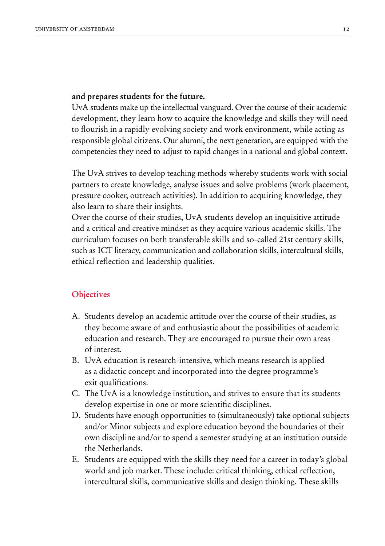#### **and prepares students for the future.**

UvA students make up the intellectual vanguard. Over the course of their academic development, they learn how to acquire the knowledge and skills they will need to flourish in a rapidly evolving society and work environment, while acting as responsible global citizens. Our alumni, the next generation, are equipped with the competencies they need to adjust to rapid changes in a national and global context.

The UvA strives to develop teaching methods whereby students work with social partners to create knowledge, analyse issues and solve problems (work placement, pressure cooker, outreach activities). In addition to acquiring knowledge, they also learn to share their insights.

Over the course of their studies, UvA students develop an inquisitive attitude and a critical and creative mindset as they acquire various academic skills. The curriculum focuses on both transferable skills and so-called 21st century skills, such as ICT literacy, communication and collaboration skills, intercultural skills, ethical reflection and leadership qualities.

#### **Objectives**

- A. Students develop an academic attitude over the course of their studies, as they become aware of and enthusiastic about the possibilities of academic education and research. They are encouraged to pursue their own areas of interest.
- B. UvA education is research-intensive, which means research is applied as a didactic concept and incorporated into the degree programme's exit qualifications.
- C. The UvA is a knowledge institution, and strives to ensure that its students develop expertise in one or more scientific disciplines.
- D. Students have enough opportunities to (simultaneously) take optional subjects and/or Minor subjects and explore education beyond the boundaries of their own discipline and/or to spend a semester studying at an institution outside the Netherlands.
- E. Students are equipped with the skills they need for a career in today's global world and job market. These include: critical thinking, ethical reflection, intercultural skills, communicative skills and design thinking. These skills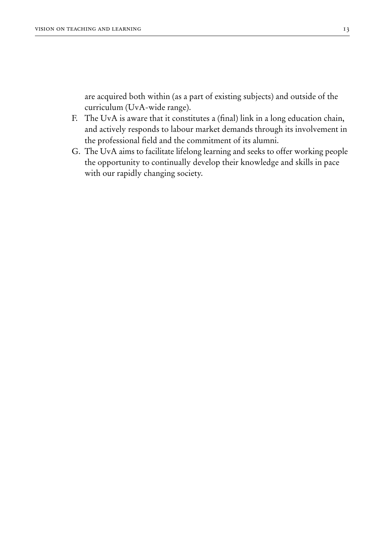are acquired both within (as a part of existing subjects) and outside of the curriculum (UvA-wide range).

- F. The UvA is aware that it constitutes a (final) link in a long education chain, and actively responds to labour market demands through its involvement in the professional field and the commitment of its alumni.
- G. The UvA aims to facilitate lifelong learning and seeks to offer working people the opportunity to continually develop their knowledge and skills in pace with our rapidly changing society.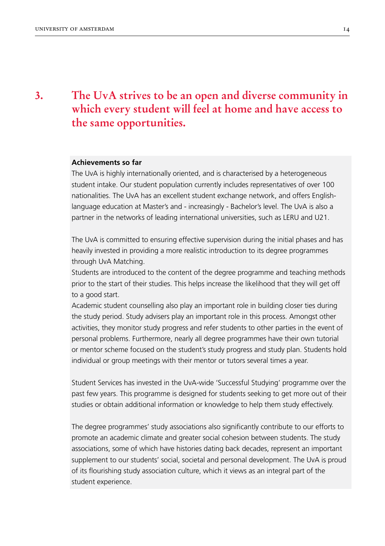## **The UvA strives to be an open and diverse community in which every student will feel at home and have access to the same opportunities.**

#### **Achievements so far**

The UvA is highly internationally oriented, and is characterised by a heterogeneous student intake. Our student population currently includes representatives of over 100 nationalities. The UvA has an excellent student exchange network, and offers Englishlanguage education at Master's and - increasingly - Bachelor's level. The UvA is also a partner in the networks of leading international universities, such as LERU and U21.

The UvA is committed to ensuring effective supervision during the initial phases and has heavily invested in providing a more realistic introduction to its degree programmes through UvA Matching.

Students are introduced to the content of the degree programme and teaching methods prior to the start of their studies. This helps increase the likelihood that they will get off to a good start.

Academic student counselling also play an important role in building closer ties during the study period. Study advisers play an important role in this process. Amongst other activities, they monitor study progress and refer students to other parties in the event of personal problems. Furthermore, nearly all degree programmes have their own tutorial or mentor scheme focused on the student's study progress and study plan. Students hold individual or group meetings with their mentor or tutors several times a year.

Student Services has invested in the UvA-wide 'Successful Studying' programme over the past few years. This programme is designed for students seeking to get more out of their studies or obtain additional information or knowledge to help them study effectively.

The degree programmes' study associations also significantly contribute to our efforts to promote an academic climate and greater social cohesion between students. The study associations, some of which have histories dating back decades, represent an important supplement to our students' social, societal and personal development. The UvA is proud of its flourishing study association culture, which it views as an integral part of the student experience.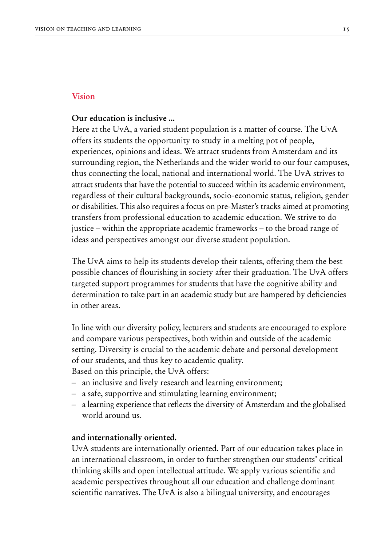#### **Vision**

#### **Our education is inclusive ...**

Here at the UvA, a varied student population is a matter of course. The UvA offers its students the opportunity to study in a melting pot of people, experiences, opinions and ideas. We attract students from Amsterdam and its surrounding region, the Netherlands and the wider world to our four campuses, thus connecting the local, national and international world. The UvA strives to attract students that have the potential to succeed within its academic environment, regardless of their cultural backgrounds, socio-economic status, religion, gender or disabilities. This also requires a focus on pre-Master's tracks aimed at promoting transfers from professional education to academic education. We strive to do justice – within the appropriate academic frameworks – to the broad range of ideas and perspectives amongst our diverse student population.

The UvA aims to help its students develop their talents, offering them the best possible chances of flourishing in society after their graduation. The UvA offers targeted support programmes for students that have the cognitive ability and determination to take part in an academic study but are hampered by deficiencies in other areas.

In line with our diversity policy, lecturers and students are encouraged to explore and compare various perspectives, both within and outside of the academic setting. Diversity is crucial to the academic debate and personal development of our students, and thus key to academic quality.

Based on this principle, the UvA offers:

- an inclusive and lively research and learning environment;
- a safe, supportive and stimulating learning environment;
- a learning experience that reflects the diversity of Amsterdam and the globalised world around us.

#### **and internationally oriented.**

UvA students are internationally oriented. Part of our education takes place in an international classroom, in order to further strengthen our students' critical thinking skills and open intellectual attitude. We apply various scientific and academic perspectives throughout all our education and challenge dominant scientific narratives. The UvA is also a bilingual university, and encourages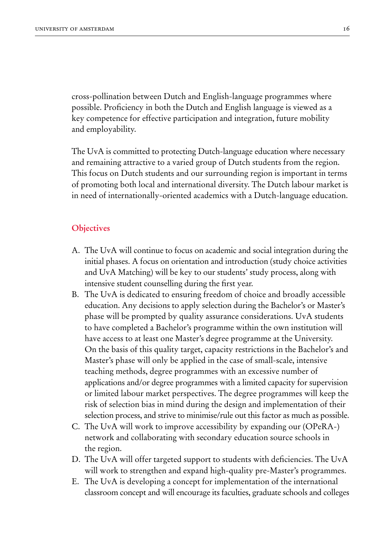cross-pollination between Dutch and English-language programmes where possible. Proficiency in both the Dutch and English language is viewed as a key competence for effective participation and integration, future mobility and employability.

The UvA is committed to protecting Dutch-language education where necessary and remaining attractive to a varied group of Dutch students from the region. This focus on Dutch students and our surrounding region is important in terms of promoting both local and international diversity. The Dutch labour market is in need of internationally-oriented academics with a Dutch-language education.

#### **Objectives**

- A. The UvA will continue to focus on academic and social integration during the initial phases. A focus on orientation and introduction (study choice activities and UvA Matching) will be key to our students' study process, along with intensive student counselling during the first year.
- B. The UvA is dedicated to ensuring freedom of choice and broadly accessible education. Any decisions to apply selection during the Bachelor's or Master's phase will be prompted by quality assurance considerations. UvA students to have completed a Bachelor's programme within the own institution will have access to at least one Master's degree programme at the University. On the basis of this quality target, capacity restrictions in the Bachelor's and Master's phase will only be applied in the case of small-scale, intensive teaching methods, degree programmes with an excessive number of applications and/or degree programmes with a limited capacity for supervision or limited labour market perspectives. The degree programmes will keep the risk of selection bias in mind during the design and implementation of their selection process, and strive to minimise/rule out this factor as much as possible.
- C. The UvA will work to improve accessibility by expanding our (OPeRA-) network and collaborating with secondary education source schools in the region.
- D. The UvA will offer targeted support to students with deficiencies. The UvA will work to strengthen and expand high-quality pre-Master's programmes.
- E. The UvA is developing a concept for implementation of the international classroom concept and will encourage its faculties, graduate schools and colleges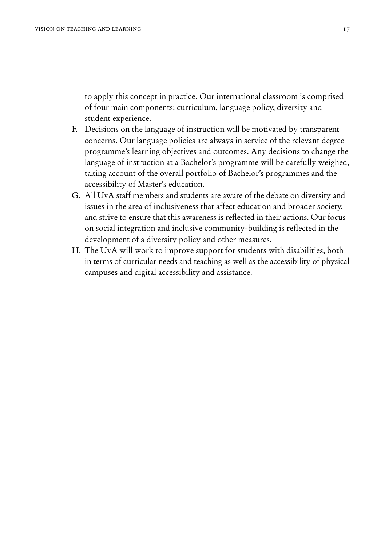to apply this concept in practice. Our international classroom is comprised of four main components: curriculum, language policy, diversity and student experience.

- F. Decisions on the language of instruction will be motivated by transparent concerns. Our language policies are always in service of the relevant degree programme's learning objectives and outcomes. Any decisions to change the language of instruction at a Bachelor's programme will be carefully weighed, taking account of the overall portfolio of Bachelor's programmes and the accessibility of Master's education.
- G. All UvA staff members and students are aware of the debate on diversity and issues in the area of inclusiveness that affect education and broader society, and strive to ensure that this awareness is reflected in their actions. Our focus on social integration and inclusive community-building is reflected in the development of a diversity policy and other measures.
- H. The UvA will work to improve support for students with disabilities, both in terms of curricular needs and teaching as well as the accessibility of physical campuses and digital accessibility and assistance.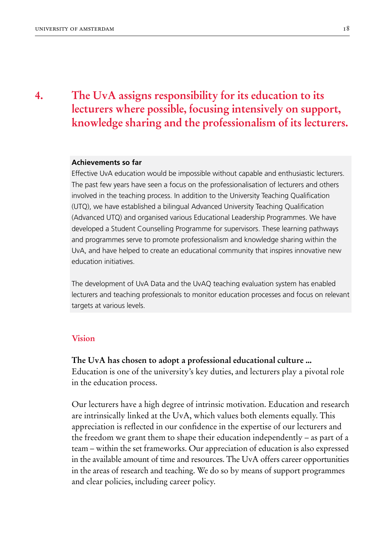## **The UvA assigns responsibility for its education to its lecturers where possible, focusing intensively on support, knowledge sharing and the professionalism of its lecturers.**

#### **Achievements so far**

Effective UvA education would be impossible without capable and enthusiastic lecturers. The past few years have seen a focus on the professionalisation of lecturers and others involved in the teaching process. In addition to the University Teaching Qualification (UTQ), we have established a bilingual Advanced University Teaching Qualification (Advanced UTQ) and organised various Educational Leadership Programmes. We have developed a Student Counselling Programme for supervisors. These learning pathways and programmes serve to promote professionalism and knowledge sharing within the UvA, and have helped to create an educational community that inspires innovative new education initiatives.

The development of UvA Data and the UvAQ teaching evaluation system has enabled lecturers and teaching professionals to monitor education processes and focus on relevant targets at various levels.

#### **Vision**

**The UvA has chosen to adopt a professional educational culture ...** Education is one of the university's key duties, and lecturers play a pivotal role in the education process.

Our lecturers have a high degree of intrinsic motivation. Education and research are intrinsically linked at the UvA, which values both elements equally. This appreciation is reflected in our confidence in the expertise of our lecturers and the freedom we grant them to shape their education independently – as part of a team – within the set frameworks. Our appreciation of education is also expressed in the available amount of time and resources. The UvA offers career opportunities in the areas of research and teaching. We do so by means of support programmes and clear policies, including career policy.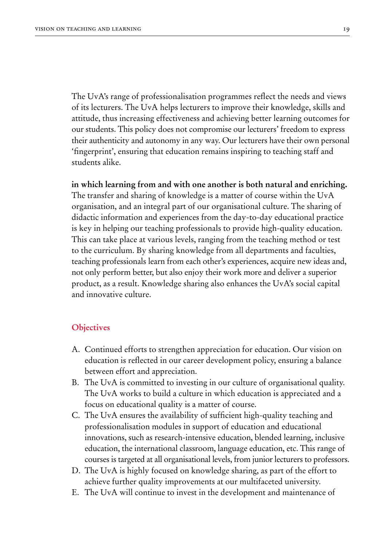The UvA's range of professionalisation programmes reflect the needs and views of its lecturers. The UvA helps lecturers to improve their knowledge, skills and attitude, thus increasing effectiveness and achieving better learning outcomes for our students. This policy does not compromise our lecturers' freedom to express their authenticity and autonomy in any way. Our lecturers have their own personal 'fingerprint', ensuring that education remains inspiring to teaching staff and students alike.

**in which learning from and with one another is both natural and enriching.** The transfer and sharing of knowledge is a matter of course within the UvA organisation, and an integral part of our organisational culture. The sharing of didactic information and experiences from the day-to-day educational practice is key in helping our teaching professionals to provide high-quality education. This can take place at various levels, ranging from the teaching method or test to the curriculum. By sharing knowledge from all departments and faculties, teaching professionals learn from each other's experiences, acquire new ideas and, not only perform better, but also enjoy their work more and deliver a superior product, as a result. Knowledge sharing also enhances the UvA's social capital and innovative culture.

#### **Objectives**

- A. Continued efforts to strengthen appreciation for education. Our vision on education is reflected in our career development policy, ensuring a balance between effort and appreciation.
- B. The UvA is committed to investing in our culture of organisational quality. The UvA works to build a culture in which education is appreciated and a focus on educational quality is a matter of course.
- C. The UvA ensures the availability of sufficient high-quality teaching and professionalisation modules in support of education and educational innovations, such as research-intensive education, blended learning, inclusive education, the international classroom, language education, etc. This range of courses is targeted at all organisational levels, from junior lecturers to professors.
- D. The UvA is highly focused on knowledge sharing, as part of the effort to achieve further quality improvements at our multifaceted university.
- E. The UvA will continue to invest in the development and maintenance of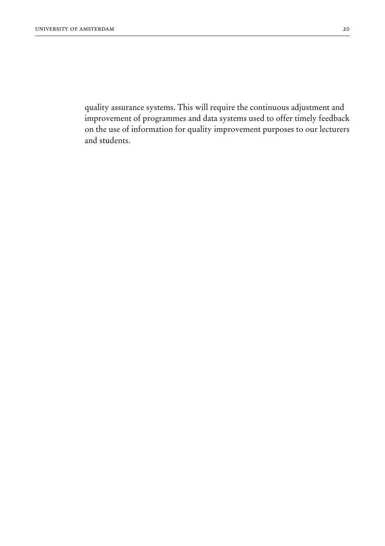quality assurance systems. This will require the continuous adjustment and improvement of programmes and data systems used to offer timely feedback on the use of information for quality improvement purposes to our lecturers and students.